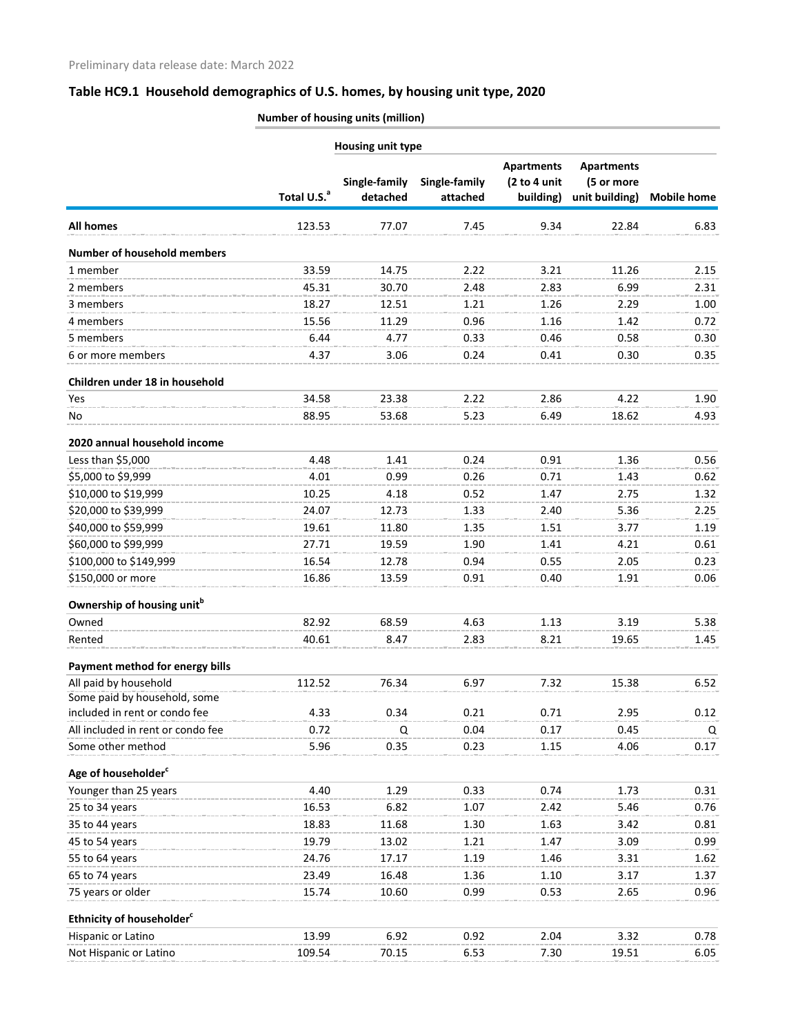# **Table HC9.1 Household demographics of U.S. homes, by housing unit type, 2020**

**Number of housing units (million)**

| <b>Housing unit type</b>               |                         |               |               |                                   |                                 |                    |
|----------------------------------------|-------------------------|---------------|---------------|-----------------------------------|---------------------------------|--------------------|
|                                        |                         | Single-family | Single-family | <b>Apartments</b><br>(2 to 4 unit | <b>Apartments</b><br>(5 or more |                    |
|                                        | Total U.S. <sup>a</sup> | detached      | attached      | building)                         | unit building)                  | <b>Mobile home</b> |
| <b>All homes</b>                       | 123.53                  | 77.07         | 7.45          | 9.34                              | 22.84                           | 6.83               |
| <b>Number of household members</b>     |                         |               |               |                                   |                                 |                    |
| 1 member                               | 33.59                   | 14.75         | 2.22          | 3.21                              | 11.26                           | 2.15               |
| 2 members                              | 45.31                   | 30.70         | 2.48          | 2.83                              | 6.99                            | 2.31               |
| 3 members                              | 18.27                   | 12.51         | 1.21          | 1.26                              | 2.29                            | 1.00               |
| 4 members                              | 15.56                   | 11.29         | 0.96          | 1.16                              | 1.42                            | 0.72               |
| 5 members                              | 6.44                    | 4.77          | 0.33          | 0.46                              | 0.58                            | 0.30               |
| 6 or more members                      | 4.37                    | 3.06          | 0.24          | 0.41                              | 0.30                            | 0.35               |
| Children under 18 in household         |                         |               |               |                                   |                                 |                    |
| <b>Yes</b>                             | 34.58                   | 23.38         | 2.22          | 2.86                              | 4.22                            | 1.90               |
| No                                     | 88.95                   | 53.68         | 5.23          | 6.49                              | 18.62                           | 4.93               |
| 2020 annual household income           |                         |               |               |                                   |                                 |                    |
| Less than \$5,000                      | 4.48                    | 1.41          | 0.24          | 0.91                              | 1.36                            | 0.56               |
| \$5,000 to \$9,999                     | 4.01                    | 0.99          | 0.26          | 0.71                              | 1.43                            | 0.62               |
| \$10,000 to \$19,999                   | 10.25                   | 4.18          | 0.52          | 1.47                              | 2.75                            | 1.32               |
| \$20,000 to \$39,999                   | 24.07                   | 12.73         | 1.33          | 2.40                              | 5.36                            | 2.25               |
| \$40,000 to \$59,999                   | 19.61                   | 11.80         | 1.35          | 1.51                              | 3.77                            | 1.19               |
| \$60,000 to \$99,999                   | 27.71                   | 19.59         | 1.90          | 1.41                              | 4.21                            | 0.61               |
| \$100,000 to \$149,999                 | 16.54                   | 12.78         | 0.94          | 0.55                              | 2.05                            | 0.23               |
| \$150,000 or more                      | 16.86                   | 13.59         | 0.91          | 0.40                              | 1.91                            | 0.06               |
| Ownership of housing unit <sup>b</sup> |                         |               |               |                                   |                                 |                    |
| Owned                                  | 82.92                   | 68.59         | 4.63          | 1.13                              | 3.19                            | 5.38               |
| Rented                                 | 40.61                   | 8.47          | 2.83          | 8.21                              | 19.65                           | 1.45               |
| Payment method for energy bills        |                         |               |               |                                   |                                 |                    |
| All paid by household                  | 112.52                  | 76.34         | 6.97          | 7.32                              | 15.38                           | 6.52               |
| Some paid by household, some           |                         |               |               |                                   |                                 |                    |
| included in rent or condo fee          | 4.33                    | 0.34          | 0.21          | 0.71                              | 2.95                            | 0.12               |
| All included in rent or condo fee      | 0.72                    | Q             | 0.04          | 0.17                              | 0.45                            | Q                  |
| Some other method                      | 5.96                    | 0.35          | 0.23          | 1.15                              | 4.06                            | 0.17               |
| Age of householder <sup>c</sup>        |                         |               |               |                                   |                                 |                    |
| Younger than 25 years                  | 4.40                    | 1.29          | 0.33          | 0.74                              | 1.73                            | 0.31               |
| 25 to 34 years                         | 16.53                   | 6.82          | 1.07          | 2.42                              | 5.46                            | 0.76               |
| 35 to 44 years                         | 18.83                   | 11.68         | 1.30          | 1.63                              | 3.42                            | 0.81               |
| 45 to 54 years                         | 19.79                   | 13.02         | 1.21          | 1.47                              | 3.09                            | 0.99               |
| 55 to 64 years                         | 24.76                   | 17.17         | 1.19          | 1.46                              | 3.31                            | 1.62               |
| 65 to 74 years                         | 23.49                   | 16.48         | 1.36          | 1.10                              | 3.17                            | 1.37               |
| 75 years or older                      | 15.74                   | 10.60         | 0.99          | 0.53                              | 2.65                            | 0.96               |
| Ethnicity of householder <sup>c</sup>  |                         |               |               |                                   |                                 |                    |
| Hispanic or Latino                     | 13.99                   | 6.92          | 0.92          | 2.04                              | 3.32                            | 0.78               |
| Not Hispanic or Latino                 | 109.54                  | 70.15         | 6.53          | 7.30                              | 19.51                           | 6.05               |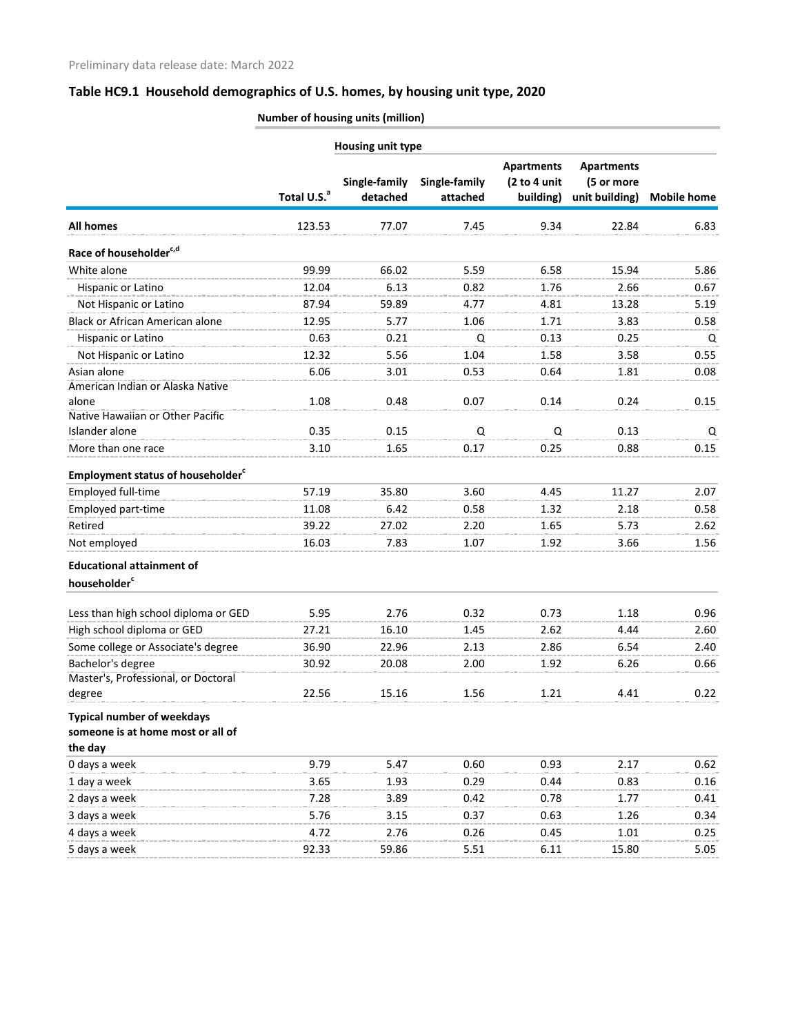# **Table HC9.1 Household demographics of U.S. homes, by housing unit type, 2020**

**Number of housing units (million)**

|                                                                                   | <b>Housing unit type</b> |                           |                           |                                                |                                                   |                    |  |
|-----------------------------------------------------------------------------------|--------------------------|---------------------------|---------------------------|------------------------------------------------|---------------------------------------------------|--------------------|--|
|                                                                                   | Total U.S. <sup>a</sup>  | Single-family<br>detached | Single-family<br>attached | <b>Apartments</b><br>(2 to 4 unit<br>building) | <b>Apartments</b><br>(5 or more<br>unit building) | <b>Mobile home</b> |  |
| <b>All homes</b>                                                                  | 123.53                   | 77.07                     | 7.45                      | 9.34                                           | 22.84                                             | 6.83               |  |
| Race of householder <sup>c,d</sup>                                                |                          |                           |                           |                                                |                                                   |                    |  |
| White alone                                                                       | 99.99                    | 66.02                     | 5.59                      | 6.58                                           | 15.94                                             | 5.86               |  |
| Hispanic or Latino                                                                | 12.04                    | 6.13                      | 0.82                      | 1.76                                           | 2.66                                              | 0.67               |  |
| Not Hispanic or Latino                                                            | 87.94                    | 59.89                     | 4.77                      | 4.81                                           | 13.28                                             | 5.19               |  |
| <b>Black or African American alone</b>                                            | 12.95                    | 5.77                      | 1.06                      | 1.71                                           | 3.83                                              | 0.58               |  |
| Hispanic or Latino                                                                | 0.63                     | 0.21                      | Q                         | 0.13                                           | 0.25                                              | Q                  |  |
| Not Hispanic or Latino                                                            | 12.32                    | 5.56                      | 1.04                      | 1.58                                           | 3.58                                              | 0.55               |  |
| Asian alone                                                                       | 6.06                     | 3.01                      | 0.53                      | 0.64                                           | 1.81                                              | 0.08               |  |
| American Indian or Alaska Native                                                  |                          |                           |                           |                                                |                                                   |                    |  |
| alone                                                                             | 1.08                     | 0.48                      | 0.07                      | 0.14                                           | 0.24                                              | 0.15               |  |
| Native Hawaiian or Other Pacific                                                  |                          |                           |                           |                                                |                                                   |                    |  |
| Islander alone                                                                    | 0.35                     | 0.15                      | Q                         | Q                                              | 0.13                                              | Q                  |  |
| More than one race                                                                | 3.10                     | 1.65                      | 0.17                      | 0.25                                           | 0.88                                              | 0.15               |  |
| <b>Employment status of householder</b> <sup>c</sup>                              |                          |                           |                           |                                                |                                                   |                    |  |
| Employed full-time                                                                | 57.19                    | 35.80                     | 3.60                      | 4.45                                           | 11.27                                             | 2.07               |  |
| Employed part-time                                                                | 11.08                    | 6.42                      | 0.58                      | 1.32                                           | 2.18                                              | 0.58               |  |
| Retired                                                                           | 39.22                    | 27.02                     | 2.20                      | 1.65                                           | 5.73                                              | 2.62               |  |
| Not employed                                                                      | 16.03                    | 7.83                      | 1.07                      | 1.92                                           | 3.66                                              | 1.56               |  |
| <b>Educational attainment of</b><br>householder <sup>c</sup>                      |                          |                           |                           |                                                |                                                   |                    |  |
| Less than high school diploma or GED                                              | 5.95                     | 2.76                      | 0.32                      | 0.73                                           | 1.18                                              | 0.96               |  |
| High school diploma or GED                                                        | 27.21                    | 16.10                     | 1.45                      | 2.62                                           | 4.44                                              | 2.60               |  |
| Some college or Associate's degree                                                | 36.90                    | 22.96                     | 2.13                      | 2.86                                           | 6.54                                              | 2.40               |  |
| Bachelor's degree                                                                 | 30.92                    | 20.08                     | 2.00                      | 1.92                                           | 6.26                                              | 0.66               |  |
| Master's, Professional, or Doctoral                                               |                          |                           |                           |                                                |                                                   |                    |  |
| degree                                                                            | 22.56                    | 15.16                     | 1.56                      | 1.21                                           | 4.41                                              | 0.22               |  |
| <b>Typical number of weekdays</b><br>someone is at home most or all of<br>the day |                          |                           |                           |                                                |                                                   |                    |  |
| 0 days a week                                                                     | 9.79                     | 5.47                      | 0.60                      | 0.93                                           | 2.17                                              | 0.62               |  |
| 1 day a week                                                                      | 3.65                     | 1.93                      | 0.29                      | 0.44                                           | 0.83                                              | 0.16               |  |
| 2 days a week                                                                     | 7.28                     | 3.89                      | 0.42                      | 0.78                                           | 1.77                                              | 0.41               |  |
| 3 days a week                                                                     | 5.76                     | 3.15                      | 0.37                      | 0.63                                           | 1.26                                              | 0.34               |  |
| 4 days a week                                                                     | 4.72                     | 2.76                      | 0.26                      | 0.45                                           | 1.01                                              | 0.25               |  |
| 5 days a week                                                                     | 92.33                    | 59.86                     | 5.51                      | 6.11                                           | 15.80                                             | 5.05               |  |
|                                                                                   |                          |                           |                           |                                                |                                                   |                    |  |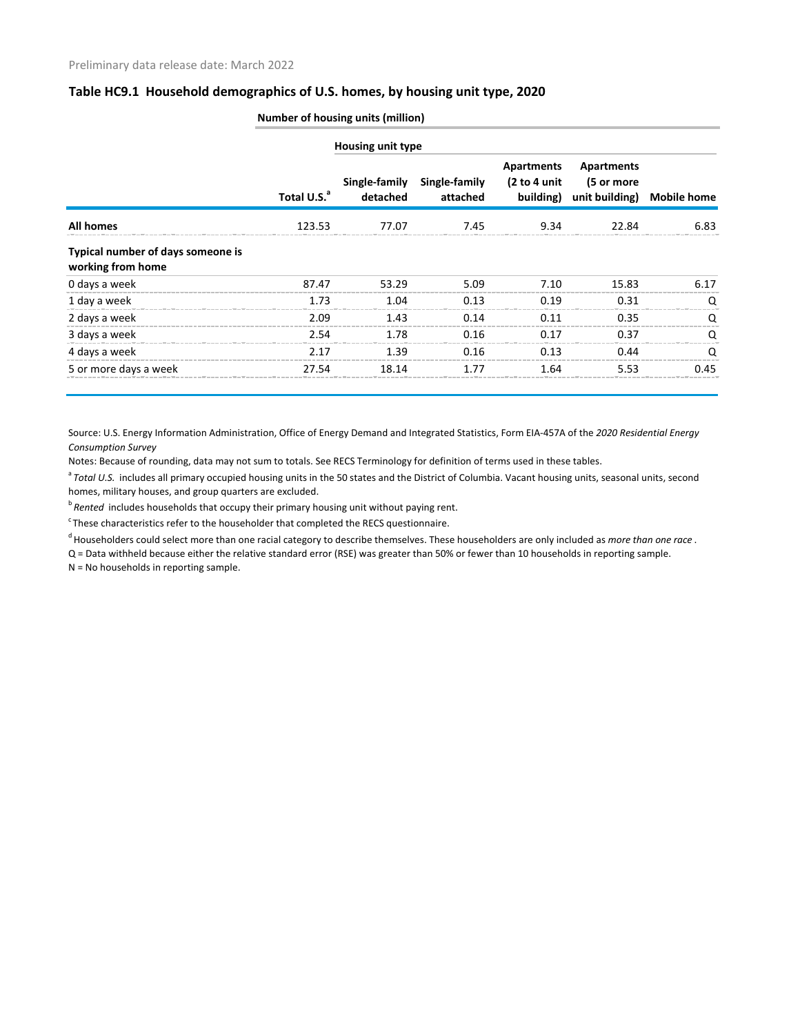### **Table HC9.1 Household demographics of U.S. homes, by housing unit type, 2020**

|                                                        |                         | <b>Housing unit type</b>  |                           |                                          |                                            |                    |  |
|--------------------------------------------------------|-------------------------|---------------------------|---------------------------|------------------------------------------|--------------------------------------------|--------------------|--|
|                                                        | Total U.S. <sup>a</sup> | Single-family<br>detached | Single-family<br>attached | Apartments<br>(2 to 4 unit)<br>building) | Apartments<br>(5 or more<br>unit building) | <b>Mobile home</b> |  |
| <b>All homes</b>                                       | 123.53                  | 77.07                     | 7.45                      | 9.34                                     | 22.84                                      | 6.83               |  |
| Typical number of days someone is<br>working from home |                         |                           |                           |                                          |                                            |                    |  |
| 0 days a week                                          | 87.47                   | 53.29                     | 5.09                      | 7.10                                     | 15.83                                      | 6.17               |  |
| 1 day a week                                           | 1.73                    | 1.04                      | 0.13                      | 0.19                                     | 0.31                                       | $\left($           |  |
| 2 days a week                                          | 2.09                    | 1.43                      | 0.14                      | 0.11                                     | 0.35                                       |                    |  |
| 3 days a week                                          | 2.54                    | 1.78                      | 0.16                      | 0.17                                     | 0.37                                       | O                  |  |
| 4 days a week                                          | 2.17                    | 1.39                      | 0.16                      | 0.13                                     | በ 44                                       |                    |  |
| 5 or more days a week                                  | 27.54                   | 18.14                     | 1.77                      | 1.64                                     | 5.53                                       | 0.45               |  |

**Number of housing units (million)**

Source: U.S. Energy Information Administration, Office of Energy Demand and Integrated Statistics, Form EIA-457A of the *2020 Residential Energy Consumption Survey* 

Notes: Because of rounding, data may not sum to totals. See RECS Terminology for definition of terms used in these tables.

<sup>a</sup> Total U.S. includes all primary occupied housing units in the 50 states and the District of Columbia. Vacant housing units, seasonal units, second homes, military houses, and group quarters are excluded.

<sup>b</sup> Rented includes households that occupy their primary housing unit without paying rent.

 $\cdot$ These characteristics refer to the householder that completed the RECS questionnaire.

d Householders could select more than one racial category to describe themselves. These householders are only included as *more than one race* .

Q = Data withheld because either the relative standard error (RSE) was greater than 50% or fewer than 10 households in reporting sample.

N = No households in reporting sample.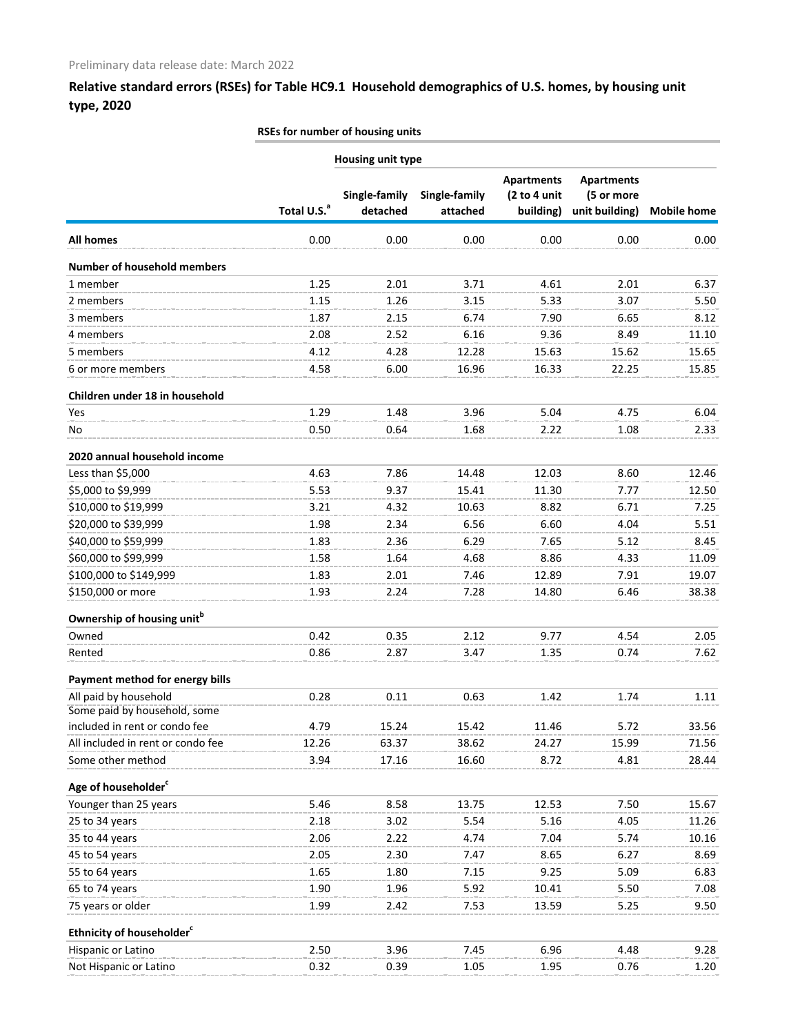## **Relative standard errors (RSEs) for Table HC9.1 Household demographics of U.S. homes, by housing unit type, 2020**

#### **RSEs for number of housing units**

| <b>Housing unit type</b>               |                         |                           |                           |                                                |                                                   |                    |
|----------------------------------------|-------------------------|---------------------------|---------------------------|------------------------------------------------|---------------------------------------------------|--------------------|
|                                        | Total U.S. <sup>a</sup> | Single-family<br>detached | Single-family<br>attached | <b>Apartments</b><br>(2 to 4 unit<br>building) | <b>Apartments</b><br>(5 or more<br>unit building) | <b>Mobile home</b> |
| All homes                              | 0.00                    | 0.00                      | 0.00                      | 0.00                                           | 0.00                                              | 0.00               |
| <b>Number of household members</b>     |                         |                           |                           |                                                |                                                   |                    |
| 1 member                               | 1.25                    | 2.01                      | 3.71                      | 4.61                                           | 2.01                                              | 6.37               |
| 2 members                              | 1.15                    | 1.26                      | 3.15                      | 5.33                                           | 3.07                                              | 5.50               |
| 3 members                              | 1.87                    | 2.15                      | 6.74                      | 7.90                                           | 6.65                                              | 8.12               |
| 4 members                              | 2.08                    | 2.52                      | 6.16                      | 9.36                                           | 8.49                                              | 11.10              |
| 5 members                              | 4.12                    | 4.28                      | 12.28                     | 15.63                                          | 15.62                                             | 15.65              |
| 6 or more members                      | 4.58                    | 6.00                      | 16.96                     | 16.33                                          | 22.25                                             | 15.85              |
| Children under 18 in household         |                         |                           |                           |                                                |                                                   |                    |
| <b>Yes</b>                             | 1.29                    | 1.48                      | 3.96                      | 5.04                                           | 4.75                                              | 6.04               |
| No                                     | 0.50                    | 0.64                      | 1.68                      | 2.22                                           | 1.08                                              | 2.33               |
| 2020 annual household income           |                         |                           |                           |                                                |                                                   |                    |
| Less than \$5,000                      | 4.63                    | 7.86                      | 14.48                     | 12.03                                          | 8.60                                              | 12.46              |
| \$5,000 to \$9,999                     | 5.53                    | 9.37                      | 15.41                     | 11.30                                          | 7.77                                              | 12.50              |
| \$10,000 to \$19,999                   | 3.21                    | 4.32                      | 10.63                     | 8.82                                           | 6.71                                              | 7.25               |
| \$20,000 to \$39,999                   | 1.98                    | 2.34                      | 6.56                      | 6.60                                           | 4.04                                              | 5.51               |
| \$40,000 to \$59,999                   | 1.83                    | 2.36                      | 6.29                      | 7.65                                           | 5.12                                              | 8.45               |
| \$60,000 to \$99,999                   | 1.58                    | 1.64                      | 4.68                      | 8.86                                           | 4.33                                              | 11.09              |
| \$100,000 to \$149,999                 | 1.83                    | 2.01                      | 7.46                      | 12.89                                          | 7.91                                              | 19.07              |
| \$150,000 or more                      | 1.93                    | 2.24                      | 7.28                      | 14.80                                          | 6.46                                              | 38.38              |
| Ownership of housing unit <sup>b</sup> |                         |                           |                           |                                                |                                                   |                    |
| Owned                                  | 0.42                    | 0.35                      | 2.12                      | 9.77                                           | 4.54                                              | 2.05               |
| Rented                                 | 0.86                    | 2.87                      | 3.47                      | 1.35                                           | 0.74                                              | 7.62               |
| Payment method for energy bills        |                         |                           |                           |                                                |                                                   |                    |
| All paid by household                  | 0.28                    | 0.11                      | 0.63                      | 1.42                                           | 1.74                                              | 1.11               |
| Some paid by household, some           |                         |                           |                           |                                                |                                                   |                    |
| included in rent or condo fee          | 4.79                    | 15.24                     | 15.42                     | 11.46                                          | 5.72                                              | 33.56              |
| All included in rent or condo fee      | 12.26                   | 63.37                     | 38.62                     | 24.27                                          | 15.99                                             | 71.56              |
| Some other method                      | 3.94                    | 17.16                     | 16.60                     | 8.72                                           | 4.81                                              | 28.44              |
| Age of householder <sup>c</sup>        |                         |                           |                           |                                                |                                                   |                    |
| Younger than 25 years                  | 5.46                    | 8.58                      | 13.75                     | 12.53                                          | 7.50                                              | 15.67              |
| 25 to 34 years                         | 2.18                    | 3.02                      | 5.54                      | 5.16                                           | 4.05                                              | 11.26              |
| 35 to 44 years                         | 2.06                    | 2.22                      | 4.74                      | 7.04                                           | 5.74                                              | 10.16              |
| 45 to 54 years                         | 2.05                    | 2.30                      | 7.47                      | 8.65                                           | 6.27                                              | 8.69               |
| 55 to 64 years                         | 1.65                    | 1.80                      | 7.15                      | 9.25                                           | 5.09                                              | 6.83               |
| 65 to 74 years                         | 1.90                    | 1.96                      | 5.92                      | 10.41                                          | 5.50                                              | 7.08               |
| 75 years or older                      | 1.99                    | 2.42                      | 7.53                      | 13.59                                          | 5.25                                              | 9.50               |
| Ethnicity of householder <sup>c</sup>  |                         |                           |                           |                                                |                                                   |                    |
| Hispanic or Latino                     | 2.50                    | 3.96                      | 7.45                      | 6.96                                           | 4.48                                              | 9.28               |
| Not Hispanic or Latino                 | 0.32                    | 0.39                      | 1.05                      | 1.95                                           | 0.76                                              | 1.20               |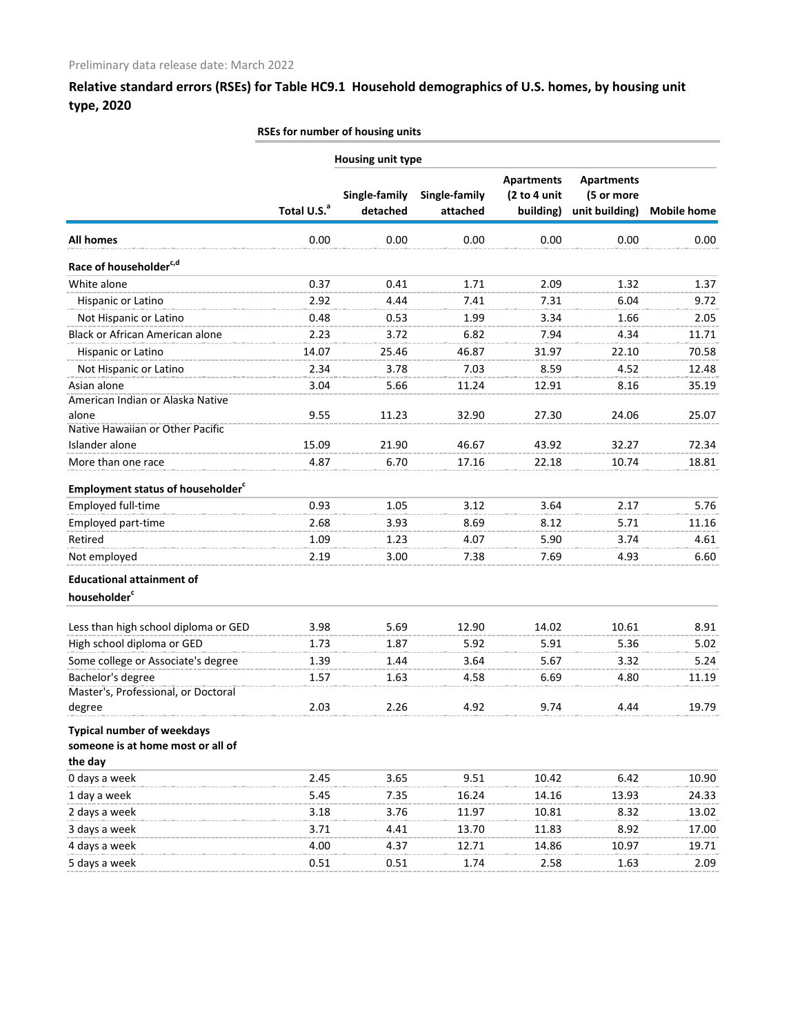**Relative standard errors (RSEs) for Table HC9.1 Household demographics of U.S. homes, by housing unit type, 2020**

#### **RSEs for number of housing units**

|                                                                                   |                         | Housing unit type         |                           |                                                |                                                   |                    |
|-----------------------------------------------------------------------------------|-------------------------|---------------------------|---------------------------|------------------------------------------------|---------------------------------------------------|--------------------|
|                                                                                   | Total U.S. <sup>a</sup> | Single-family<br>detached | Single-family<br>attached | <b>Apartments</b><br>(2 to 4 unit<br>building) | <b>Apartments</b><br>(5 or more<br>unit building) | <b>Mobile home</b> |
| <b>All homes</b>                                                                  | 0.00                    | 0.00                      | 0.00                      | 0.00                                           | 0.00                                              | 0.00               |
| Race of householder <sup>c,d</sup>                                                |                         |                           |                           |                                                |                                                   |                    |
| White alone                                                                       | 0.37                    | 0.41                      | 1.71                      | 2.09                                           | 1.32                                              | 1.37               |
| Hispanic or Latino                                                                | 2.92                    | 4.44                      | 7.41                      | 7.31                                           | 6.04                                              | 9.72               |
| Not Hispanic or Latino                                                            | 0.48                    | 0.53                      | 1.99                      | 3.34                                           | 1.66                                              | 2.05               |
| <b>Black or African American alone</b>                                            | 2.23                    | 3.72                      | 6.82                      | 7.94                                           | 4.34                                              | 11.71              |
| Hispanic or Latino                                                                | 14.07                   | 25.46                     | 46.87                     | 31.97                                          | 22.10                                             | 70.58              |
| Not Hispanic or Latino                                                            | 2.34                    | 3.78                      | 7.03                      | 8.59                                           | 4.52                                              | 12.48              |
| Asian alone<br>American Indian or Alaska Native                                   | 3.04                    | 5.66                      | 11.24                     | 12.91                                          | 8.16                                              | 35.19              |
| alone<br>Native Hawaiian or Other Pacific                                         | 9.55                    | 11.23                     | 32.90                     | 27.30                                          | 24.06                                             | 25.07              |
| Islander alone                                                                    | 15.09                   | 21.90                     | 46.67                     | 43.92                                          | 32.27                                             | 72.34              |
| More than one race                                                                | 4.87                    | 6.70                      | 17.16                     | 22.18                                          | 10.74                                             | 18.81              |
| <b>Employment status of householder</b> <sup>c</sup>                              |                         |                           |                           |                                                |                                                   |                    |
| Employed full-time                                                                | 0.93                    | 1.05                      | 3.12                      | 3.64                                           | 2.17                                              | 5.76               |
| Employed part-time                                                                | 2.68                    | 3.93                      | 8.69                      | 8.12                                           | 5.71                                              | 11.16              |
| Retired                                                                           | 1.09                    | 1.23                      | 4.07                      | 5.90                                           | 3.74                                              | 4.61               |
| Not employed                                                                      | 2.19                    | 3.00                      | 7.38                      | 7.69                                           | 4.93                                              | 6.60               |
| <b>Educational attainment of</b><br>householder <sup>c</sup>                      |                         |                           |                           |                                                |                                                   |                    |
| Less than high school diploma or GED                                              | 3.98                    | 5.69                      | 12.90                     | 14.02                                          | 10.61                                             | 8.91               |
| High school diploma or GED                                                        | 1.73                    | 1.87                      | 5.92                      | 5.91                                           | 5.36                                              | 5.02               |
| Some college or Associate's degree                                                | 1.39                    | 1.44                      | 3.64                      | 5.67                                           | 3.32                                              | 5.24               |
| Bachelor's degree                                                                 | 1.57                    | 1.63                      | 4.58                      | 6.69                                           | 4.80                                              | 11.19              |
| Master's, Professional, or Doctoral<br>degree                                     | 2.03                    | 2.26                      | 4.92                      | 9.74                                           | 4.44                                              | 19.79              |
| <b>Typical number of weekdays</b><br>someone is at home most or all of<br>the day |                         |                           |                           |                                                |                                                   |                    |
| 0 days a week                                                                     | 2.45                    | 3.65                      | 9.51                      | 10.42                                          | 6.42                                              | 10.90              |
| 1 day a week                                                                      | 5.45                    | 7.35                      | 16.24                     | 14.16                                          | 13.93                                             | 24.33              |
| 2 days a week                                                                     | 3.18                    | 3.76                      | 11.97                     | 10.81                                          | 8.32                                              | 13.02              |
| 3 days a week                                                                     | 3.71                    | 4.41                      | 13.70                     | 11.83                                          | 8.92                                              | 17.00              |
| 4 days a week                                                                     | 4.00                    | 4.37                      | 12.71                     | 14.86                                          | 10.97                                             | 19.71              |
| 5 days a week                                                                     | 0.51                    | 0.51                      | 1.74                      | 2.58                                           | 1.63                                              | 2.09               |